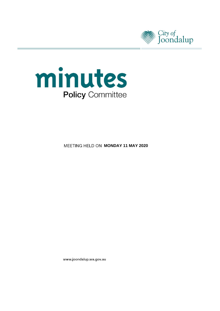



**MEETING HELD ON MONDAY 11 MAY 2020** 

www.joondalup.wa.gov.au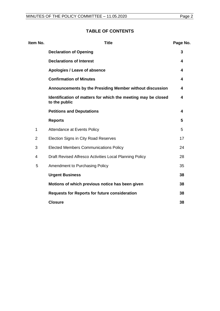## **TABLE OF CONTENTS**

| Item No.       | <b>Title</b>                                                                   | Page No. |
|----------------|--------------------------------------------------------------------------------|----------|
|                | <b>Declaration of Opening</b>                                                  | 3        |
|                | <b>Declarations of Interest</b>                                                | 4        |
|                | Apologies / Leave of absence                                                   | 4        |
|                | <b>Confirmation of Minutes</b>                                                 | 4        |
|                | Announcements by the Presiding Member without discussion                       | 4        |
|                | Identification of matters for which the meeting may be closed<br>to the public | 4        |
|                | <b>Petitions and Deputations</b>                                               | 4        |
|                | <b>Reports</b>                                                                 | 5        |
| $\mathbf{1}$   | Attendance at Events Policy                                                    | 5        |
| $\overline{2}$ | Election Signs in City Road Reserves                                           | 17       |
| 3              | <b>Elected Members Communications Policy</b>                                   | 24       |
| $\overline{4}$ | Draft Revised Alfresco Activities Local Planning Policy                        | 28       |
| 5              | Amendment to Purchasing Policy                                                 | 35       |
|                | <b>Urgent Business</b>                                                         | 38       |
|                | Motions of which previous notice has been given                                | 38       |
|                | <b>Requests for Reports for future consideration</b>                           | 38       |
|                | <b>Closure</b>                                                                 | 38       |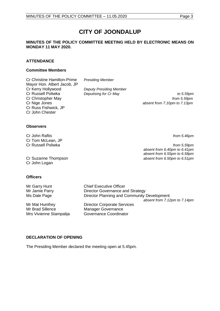# **CITY OF JOONDALUP**

## **MINUTES OF THE POLICY COMMITTEE MEETING HELD BY ELECTRONIC MEANS ON MONDAY 11 MAY 2020.**

## **ATTENDANCE**

## **Committee Members**

Cr Christine Hamilton-Prime *Presiding Member* Mayor Hon. Albert Jacob, JP Cr Kerry Hollywood *Deputy Presiding Member* Cr Christopher May *from 5.59pm* Cr Nige Jones *absent from 7.10pm to 7.13pm* Cr Russ Fishwick, JP Cr John Chester

**Deputising for Cr May**  Deputising for Cr May **to 5.59pm** 

## **Observers**

Cr John Raftis *from 5.46pm* Cr Tom McLean, JP

Cr John Logan

## **Officers**

Mr Garry Hunt Chief Executive Officer Mr Jamie Parry **Director Governance and Strategy** Ms Dale Page **Director Planning and Community Development** *absent from 7.12pm to 7.14pm* Mr Mat Humfrey **Director Corporate Services** Mr Brad Sillence Manager Governance Mrs Vivienne Stampalija Governance Coordinator

## <span id="page-2-0"></span>**DECLARATION OF OPENING**

The Presiding Member declared the meeting open at 5.45pm.

Cr Russell Poliwka *from 5.59pm absent from 6.40pm to 6.41pm absent from 6.55pm to 6.58pm* Cr Suzanne Thompson *absent from 6.50pm to 6.51pm*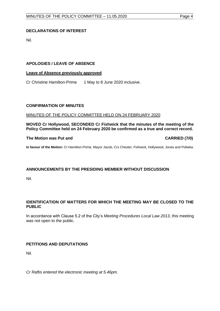## <span id="page-3-0"></span>**DECLARATIONS OF INTEREST**

Nil.

## <span id="page-3-1"></span>**APOLOGIES / LEAVE OF ABSENCE**

## **Leave of Absence previously approved**

Cr Christine Hamilton-Prime 1 May to 8 June 2020 inclusive.

## <span id="page-3-2"></span>**CONFIRMATION OF MINUTES**

## MINUTES OF THE POLICY COMMITTEE HELD ON 24 FEBRUARY 2020

**MOVED Cr Hollywood, SECONDED Cr Fishwick that the minutes of the meeting of the Policy Committee held on 24 February 2020 be confirmed as a true and correct record.**

## **The Motion was Put and CARRIED (7/0)**

**In favour of the Motion:** Cr Hamilton-Prime, Mayor Jacob, Crs Chester, Fishwick, Hollywood, Jones and Poliwka.

## <span id="page-3-3"></span>**ANNOUNCEMENTS BY THE PRESIDING MEMBER WITHOUT DISCUSSION**

Nil.

## <span id="page-3-4"></span>**IDENTIFICATION OF MATTERS FOR WHICH THE MEETING MAY BE CLOSED TO THE PUBLIC**

In accordance with Clause 5.2 of the City's *Meeting Procedures Local Law 2013*, this meeting was not open to the public.

## <span id="page-3-5"></span>**PETITIONS AND DEPUTATIONS**

Nil.

*Cr Raftis entered the electronic meeting at 5.46pm.*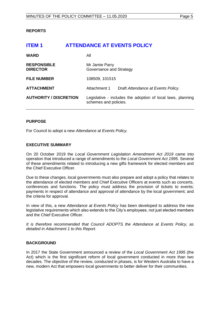## <span id="page-4-0"></span>**REPORTS**

# <span id="page-4-1"></span>**ITEM 1 ATTENDANCE AT EVENTS POLICY WARD** All **RESPONSIBLE** Mr Jamie Parry **DIRECTOR** Governance and Strategy **FILE NUMBER** 108509, 101515 **ATTACHMENT** Attachment 1 Draft *Attendance at Events Policy.* **AUTHORITY / DISCRETION** Legislative - includes the adoption of local laws, planning schemes and policies.

## **PURPOSE**

For Council to adopt a new *Attendance at Events Policy*.

## **EXECUTIVE SUMMARY**

On 20 October 2019 the *Local Government Legislation Amendment Act 2019* came into operation that introduced a range of amendments to the *Local Government Act 1995.* Several of these amendments related to introducing a new gifts framework for elected members and the Chief Executive Officer.

Due to these changes, local governments must also prepare and adopt a policy that relates to the attendance of elected members and Chief Executive Officers at events such as concerts, conferences and functions. The policy must address the provision of tickets to events; payments in respect of attendance and approval of attendance by the local government; and the criteria for approval.

In view of this, a new *Attendance at Events Policy* has been developed to address the new legislative requirements which also extends to the City's employees, not just elected members and the Chief Executive Officer.

*It is therefore recommended that Council ADOPTS the Attendance at Events Policy, as detailed in Attachment 1 to this Report.* 

## **BACKGROUND**

In 2017 the State Government announced a review of the *Local Government Act 1995* (the Act) which is the first significant reform of local government conducted in more than two decades. The objective of the review, conducted in phases, is for Western Australia to have a new, modern Act that empowers local governments to better deliver for their communities.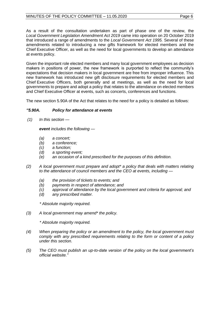As a result of the consultation undertaken as part of phase one of the review, the *Local Government Legislation Amendment Act 2019* came into operation on 20 October 2019 that introduced a range of amendments to the *Local Government Act 1995.* Several of these amendments related to introducing a new gifts framework for elected members and the Chief Executive Officer, as well as the need for local governments to develop an attendance at events policy.

Given the important role elected members and many local government employees as decision makers in positions of power, the new framework is purported to reflect the community's expectations that decision makers in local government are free from improper influence. This new framework has introduced new gift disclosure requirements for elected members and Chief Executive Officers, both generally and at meetings, as well as the need for local governments to prepare and adopt a policy that relates to the attendance on elected members and Chief Executive Officer at events, such as concerts, conferences and functions.

The new section 5.90A of the Act that relates to the need for a policy is detailed as follows:

## *"5.90A. Policy for attendance at events*

*(1) In this section —*

*event includes the following —*

- *(a) a concert;*
- *(b) a conference;*
- *(c) a function;*
- *(d) a sporting event;*
- *(e) an occasion of a kind prescribed for the purposes of this definition.*
- *(2) A local government must prepare and adopt\* a policy that deals with matters relating to the attendance of council members and the CEO at events, including —*
	- *(a) the provision of tickets to events; and*
	- *(b) payments in respect of attendance; and*
	- *(c) approval of attendance by the local government and criteria for approval; and*
	- *(d) any prescribed matter.*

*\* Absolute majority required.*

*(3) A local government may amend\* the policy.*

*\* Absolute majority required.*

- *(4) When preparing the policy or an amendment to the policy, the local government must comply with any prescribed requirements relating to the form or content of a policy under this section.*
- *(5) The CEO must publish an up-to-date version of the policy on the local government's official website."*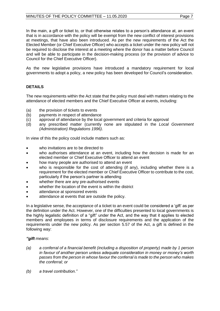In the main, a gift or ticket to, or that otherwise relates to a person's attendance at, an event that is in accordance with the policy will be exempt from the new conflict of interest provisions at meetings, that have also been introduced. As per the new requirements of the Act the Elected Member (or Chief Executive Officer) who accepts a ticket under the new policy will not be required to disclose the interest at a meeting where the donor has a matter before Council and will be able to participate in the decision-making process (or the provision of advice to Council for the Chief Executive Officer).

As the new legislative provisions have introduced a mandatory requirement for local governments to adopt a policy, a new policy has been developed for Council's consideration.

## **DETAILS**

The new requirements within the Act state that the policy must deal with matters relating to the attendance of elected members and the Chief Executive Officer at events, including:

- (a) the provision of tickets to events
- (b) payments in respect of attendance
- (c) approval of attendance by the local government and criteria for approval
- (d) any prescribed matter (currently none are stipulated in the *Local Government (Administration) Regulations 1996)*.

In view of this the policy could include matters such as:

- who invitations are to be directed to
- who authorises attendance at an event, including how the decision is made for an elected member or Chief Executive Officer to attend an event
- how many people are authorised to attend an event
- who is responsible for the cost of attending (if any), including whether there is a requirement for the elected member or Chief Executive Officer to contribute to the cost, particularly if the person's partner is attending
- whether there are any pre-authorised events
- whether the location of the event is within the district
- attendance at sponsored events
- attendance at events that are outside the policy.

In a legislative sense, the acceptance of a ticket to an event could be considered a 'gift' as per the definition under the Act. However, one of the difficulties presented to local governments is the highly legalistic definition of a "gift" under the Act, and the way that it applies to elected members and employees in terms of disclosure requirements and the application of the requirements under the new policy. As per section 5.57 of the Act, a gift is defined in the following way:

## *"gift means*:

- *(a) a conferral of a financial benefit (including a disposition of property) made by 1 person in favour of another person unless adequate consideration in money or money's worth passes from the person in whose favour the conferral is made to the person who makes the conferral; or*
- *(b) a travel contribution."*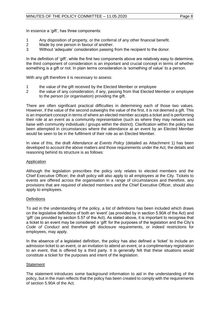In essence a 'gift', has three components:

- 1 Any disposition of property, or the conferral of any other financial benefit.<br>2 Made by one person in favour of another.
- Made by one person in favour of another.
- 3 Without 'adequate' consideration passing from the recipient to the donor.

In the definition of 'gift', while the first two components above are relatively easy to determine, the third component of consideration is an important and crucial concept in terms of whether something is a gift or not. In plain terms consideration is 'something of value' to a person.

With any gift therefore it is necessary to assess:

- 1 the value of the gift received by the Elected Member or employee
- 2 the value of any consideration, if any, passing from that Elected Member or employee to the person (or organisation) providing the gift.

There are often significant practical difficulties in determining each of those two values. However, if the value of the second outweighs the value of the first, it is not deemed a gift. This is an important concept in terms of where an elected member accepts a ticket and is performing their role at an event as a community representative (such as where they may network and liaise with community individuals / groups within the district). Clarification within the policy has been attempted in circumstances where the attendance at an event by an Elected Member would be seen to be in the fulfilment of their role as an Elected Member.

In view of this, the draft *Attendance at Events Policy* (detailed as Attachment 1) has been developed to account the above matters and those requirements under the Act, the details and reasoning behind its structure is as follows:

## Application

Although the legislation prescribes the policy only relates to elected members and the Chief Executive Officer, the draft policy will also apply to all employees at the City. Tickets to events are offered across the organisation in a range of circumstances and therefore, any provisions that are required of elected members and the Chief Executive Officer, should also apply to employees.

## **Definitions**

To aid in the understanding of the policy, a list of definitions has been included which draws on the legislative definitions of both an 'event' (as provided by in section 5.90A of the Act) and 'gift' (as provided by section 5.57 of the Act). As stated above, it is important to recognise that a ticket to an event may be considered a 'gift' for the purposes of the legislation and the City's *Code of Conduct* and therefore gift disclosure requirements, or indeed restrictions for employees, may apply.

In the absence of a legislated definition, the policy has also defined a 'ticket' to include an admission ticket to an event, or an invitation to attend an event, or a complimentary registration to an event, that is offered by a third party. It is generally felt that these situations would constitute a ticket for the purposes and intent of the legislation.

## **Statement**

The statement introduces some background information to aid in the understanding of the policy, but in the main reflects that the policy has been created to comply with the requirements of section 5.90A of the Act.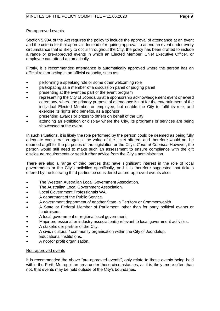## Pre-approved events

Section 5.90A of the Act requires the policy to include the approval of attendance at an event and the criteria for that approval. Instead of requiring approval to attend an event under every circumstance that is likely to occur throughout the City, the policy has been drafted to include a range or pre-approved events in which an Elected Member, Chief Executive Officer, or employee can attend automatically.

Firstly, it is recommended attendance is automatically approved where the person has an official role or acting in an official capacity, such as:

- performing a speaking role or some other welcoming role
- participating as a member of a discussion panel or judging panel
- presenting at the event as part of the event program
- representing the City of Joondalup at a sponsorship acknowledgement event or award ceremony, where the primary purpose of attendance is not for the entertainment of the individual Elected Member or employee, but enable the City to fulfil its role, and exercise its rights and benefits, as a sponsor
- presenting awards or prizes to others on behalf of the City
- attending an exhibition or display where the City, its programs or services are being showcased at the event.

In such situations, it is likely the role performed by the person could be deemed as being fully adequate consideration against the value of the ticket offered, and therefore would not be deemed a gift for the purposes of the legislation or the City's *Code of Conduct.* However, the person would still need to make such an assessment to ensure compliance with the gift disclosure requirements or seek further advice from the City's administration.

There are also a range of third parties that have significant interest in the role of local governments or the City's activities specifically, and it is therefore suggested that tickets offered by the following third parties be considered as pre-approved events also:

- The Western Australian Local Government Association.
- The Australian Local Government Association.
- Local Government Professionals WA.
- A department of the Public Service.
- A government department of another State, a Territory or Commonwealth.
- A State or Federal Member of Parliament, other than for party political events or fundraisers.
- A local government or regional local government.
- Major professional or industry association(s) relevant to local government activities.
- A stakeholder partner of the City.
- A civic / cultural / community organisation within the City of Joondalup.
- Educational institutions.
- A not-for profit organisation.

## Non-approved events

It is recommended the above "pre-approved events", only relate to those events being held within the Perth Metropolitan area under those circumstances, as it is likely, more often than not, that events may be held outside of the City's boundaries.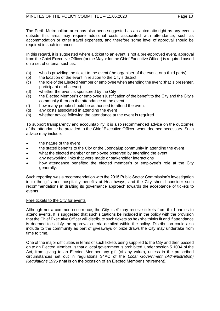The Perth Metropolitan area has also been suggested as an automatic right as any events outside this area may require additional costs associated with attendance, such as accommodation or other travel expenses, and therefore some level of approval should be required in such instances.

In this regard, it is suggested where a ticket to an event is not a pre-approved event, approval from the Chief Executive Officer (or the Mayor for the Chief Executive Officer) is required based on a set of criteria, such as:

- (a) who is providing the ticket to the event (the organiser of the event, or a third party)
- (b) the location of the event in relation to the City's district
- (c) the role of the Elected Member or employee when attending the event (that is presenter, participant or observer)
- (d) whether the event is sponsored by the City
- (e) the Elected Member's or employee's justification of the benefit to the City and the City's community through the attendance at the event
- (f) how many people should be authorised to attend the event
- (g) any costs associated in attending the event
- (h) whether advice following the attendance at the event is required.

To support transparency and accountability, it is also recommended advice on the outcomes of the attendance be provided to the Chief Executive Officer, when deemed necessary. Such advice may include:

- the nature of the event
- the stated benefits to the City or the Joondalup community in attending the event
- what the elected member or employee observed by attending the event
- any networking links that were made or stakeholder interactions
- how attendance benefited the elected member's or employee's role at the City generally.

Such reporting was a recommendation with the 2015 Public Sector Commission's investigation in to the gifts and hospitality benefits at Healthways, and the City should consider such recommendations in drafting its governance approach towards the acceptance of tickets to events.

## Free tickets to the City for events

Although not a common occurrence, the City itself may receive tickets from third parties to attend events. It is suggested that such situations be included in the policy with the provision that the Chief Executive Officer will distribute such tickets as he / she thinks fit and if attendance is deemed to satisfy the approval criteria detailed within the policy. Distribution could also include to the community as part of giveaways or prize draws the City may undertake from time to time.

One of the major difficulties in terms of such tickets being supplied to the City and then passed on to an Elected Member, is that a local government is prohibited, under section 5.100A of the Act, from giving to an Elected Member any gift (of any value), unless in the prescribed circumstances set out in regulations 34AC of the *Local Government (Administration) Regulations 1996* (that is on the occasion of an Elected Member's retirement).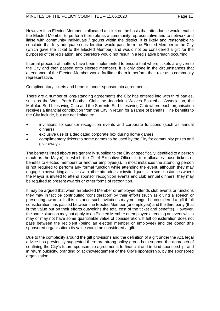However if an Elected Member is allocated a ticket on the basis that attendance would enable the Elected Member to perform their role as a community representative and to network and liaise with community individuals / groups within the district, it is likely and reasonable to conclude that fully adequate consideration would pass from the Elected Member to the City (which gave the ticket to the Elected Member) and would not be considered a gift for the purposes of the legislation, and therefore would not result in a legislative breach occurring.

Internal procedural matters have been implemented to ensure that where tickets are given to the City and then passed onto elected members, it is only done in the circumstances that attendance of the Elected Member would facilitate them in perform their role as a community representative.

## Complimentary tickets and benefits under sponsorship agreements

There are a number of long-standing agreements the City has entered into with third parties, such as the West Perth Football Club, the Joondalup Wolves Basketball Association, the Mullaloo Surf Lifesaving Club and the Sorrento Surf Lifesaving Club where each organisation receives a financial contribution from the City in return for a range of benefits. The benefits to the City include, but are not limited to:

- invitations to sponsor recognition events and corporate functions (such as annual dinners)
- exclusive use of a dedicated corporate box during home games
- complimentary tickets to home games to be used by the City for community prizes and give-aways.

The benefits listed above are generally supplied to the City or specifically identified to a person (such as the Mayor), in which the Chief Executive Officer in turn allocates those tickets or benefits to elected members or another employee(s). In most instances the attending person is not required to perform any formal function while attending the event, although they may engage in networking activities with other attendees or invited guests. In some instances where the Mayor is invited to attend sponsor recognition events and club annual dinners, they may be required to present awards or other forms of recognition.

It may be argued that when an Elected Member or employee attends club events or functions they may in fact be contributing 'consideration' by their efforts (such as giving a speech or presenting awards). In this instance such invitations may no longer be considered a gift if full consideration has passed between the Elected Member (or employee) and the third party (that is the value put on their efforts outweighs the total cost of the ticket and benefits). However, the same situation may not apply to an Elected Member or employee attending an event which may or may not have some quantifiable value of consideration. If full consideration does not pass between the recipient (being an elected member or employee) and the donor (the sponsored organisation) its value would be considered a gift.

Due to the complexity around the gift provisions and the definition of a gift under the Act, legal advice has previously suggested there are strong policy grounds to support the approach of confining the City's future sponsorship agreements to financial and in-kind sponsorship, and in return publicity, branding or acknowledgement of the City's sponsorship, by the sponsored organisation.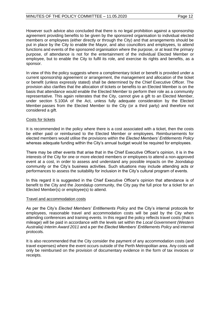However such advice also concluded that there is no legal prohibition against a sponsorship agreement providing benefits to be given by the sponsored organisation to individual elected members or employees (either directly or through the City) and that arrangements should be put in place by the City to enable the Mayor, and also councillors and employees, to attend functions and events of the sponsored organisation where the purpose, or at least the primary purpose, of attendance is not for the entertainment of the individual Elected Member or employee, but to enable the City to fulfil its role, and exercise its rights and benefits, as a sponsor.

In view of this the policy suggests where a complimentary ticket or benefit is provided under a current sponsorship agreement or arrangement, the management and allocation of the ticket or benefit (unless expressly stated) shall be determined by the Chief Executive Officer. The provision also clarifies that the allocation of tickets or benefits to an Elected Member is on the basis that attendance would enable the Elected Member to perform their role as a community representative. This again reiterates that the City, cannot give a gift to an Elected Member, under section 5.100A of the Act, unless fully adequate consideration by the Elected Member passes from the Elected Member to the City (or a third party) and therefore not considered a gift.

## Costs for tickets

It is recommended in the policy where there is a cost associated with a ticket, then the costs be either paid or reimbursed to the Elected Member or employees. Reimbursements for elected members would utilise the provisions within the *Elected Members' Entitlements Policy* whereas adequate funding within the City's annual budget would be required for employees.

There may be other events that arise that in the Chief Executive Officer's opinion, it is in the interests of the City for one or more elected members or employees to attend a non-approved event at a cost, in order to assess and understand any possible impacts on the Joondalup community or the City's business activities. Such situations may include attending acts or performances to assess the suitability for inclusion in the City's cultural program of events.

In this regard it is suggested in the Chief Executive Officer's opinion that attendance is of benefit to the City and the Joondalup community, the City pay the full price for a ticket for an Elected Member(s) or employee(s) to attend.

## Travel and accommodation costs

As per the City's *Elected Members' Entitlements Policy* and the City's internal protocols for employees, reasonable travel and accommodation costs will be paid by the City when attending conferences and training events. In this regard the policy reflects travel costs (that is mileage) will be paid in accordance with the levels set within the *Local Government (Western Australia) Interim Award 2011* and a per the *Elected Members' Entitlements Policy* and internal protocols.

It is also recommended that the City consider the payment of any accommodation costs (and travel expenses) where the event occurs outside of the Perth Metropolitan area. Any costs will only be reimbursed on the provision of documentary evidence in the form of tax invoices or receipts.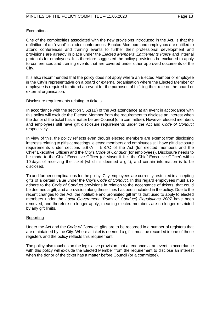## **Exemptions**

One of the complexities associated with the new provisions introduced in the Act, is that the definition of an "event" includes conferences. Elected Members and employees are entitled to attend conferences and training events to further their professional development and provisions are already in place under the *Elected Members' Entitlements Policy* and internal protocols for employees. It is therefore suggested the policy provisions be excluded to apply to conferences and training events that are covered under other approved documents of the City.

It is also recommended that the policy does not apply where an Elected Member or employee is the City's representative on a board or external organisation where the Elected Member or employee is required to attend an event for the purposes of fulfilling their role on the board or external organisation.

## Disclosure requirements relating to tickets

In accordance with the section 5.62(1B) of the Act attendance at an event in accordance with this policy will exclude the Elected Member from the requirement to disclose an interest when the donor of the ticket has a matter before Council (or a committee). However elected members and employees still have gift disclosure requirements under the Act and *Code of Conduct*  respectively.

In view of this, the policy reflects even though elected members are exempt from disclosing interests relating to gifts at meetings, elected members and employees still have gift disclosure requirements under sections 5.87A – 5.87C of the Act (for elected members and the Chief Executive Officer) and the City's *Code of Conduct* (for employees). Disclosure needs to be made to the Chief Executive Officer (or Mayor if it is the Chief Executive Officer) within 10 days of receiving the ticket (which is deemed a gift), and certain information is to be disclosed.

To add further complications for the policy, City employees are currently restricted in accepting gifts of a certain value under the City's *Code of Conduct.* In this regard employees must also adhere to the *Code of Conduct* provisions in relation to the acceptance of tickets, that could be deemed a gift, and a provision along these lines has been included in the policy. Due to the recent changes to the Act, the notifiable and prohibited gift limits that used to apply to elected members under the *Local Government (Rules of Conduct) Regulations 2007* have been removed, and therefore no longer apply, meaning elected members are no longer restricted by any gift limits.

## Reporting

Under the Act and the *Code of Conduct,* gifts are to be recorded in a number of registers that are maintained by the City. Where a ticket is deemed a gift it must be recorded in one of these registers and the policy reflects this requirement.

The policy also touches on the legislative provision that attendance at an event in accordance with this policy will exclude the Elected Member from the requirement to disclose an interest when the donor of the ticket has a matter before Council (or a committee).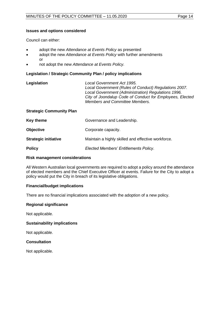## **Issues and options considered**

Council can either:

- adopt the new *Attendance at Events Policy* as presented
- adopt the new *Attendance at Events Policy* with further amendments or
- not adopt the new *Attendance at Events Policy.*

## **Legislation / Strategic Community Plan / policy implications**

| Legislation | Local Government Act 1995.                               |
|-------------|----------------------------------------------------------|
|             | Local Government (Rules of Conduct) Regulations 2007.    |
|             | Local Government (Administration) Regulations 1996.      |
|             | City of Joondalup Code of Conduct for Employees, Elected |
|             | <b>Members and Committee Members.</b>                    |

## **Strategic Community Plan**

| Key theme                   | Governance and Leadership.                         |
|-----------------------------|----------------------------------------------------|
| <b>Objective</b>            | Corporate capacity.                                |
| <b>Strategic initiative</b> | Maintain a highly skilled and effective workforce. |
| <b>Policy</b>               | Elected Members' Entitlements Policy.              |

## **Risk management considerations**

All Western Australian local governments are required to adopt a policy around the attendance of elected members and the Chief Executive Officer at events. Failure for the City to adopt a policy would put the City in breach of its legislative obligations.

## **Financial/budget implications**

There are no financial implications associated with the adoption of a new policy.

## **Regional significance**

Not applicable.

## **Sustainability implications**

Not applicable.

## **Consultation**

Not applicable.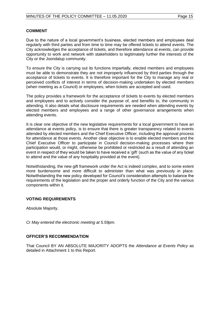## **COMMENT**

Due to the nature of a local government's business, elected members and employees deal regularly with third parties and from time to time may be offered tickets to attend events. The City acknowledges the acceptance of tickets, and therefore attendance at events, can provide opportunity to work and network with stakeholders to legitimately further the interests of the City or the Joondalup community.

To ensure the City is carrying out its functions impartially, elected members and employees must be able to demonstrate they are not improperly influenced by third parties through the acceptance of tickets to events. It is therefore important for the City to manage any real or perceived conflicts of interest in terms of decision-making undertaken by elected members (when meeting as a Council) or employees, when tickets are accepted and used.

The policy provides a framework for the acceptance of tickets to events by elected members and employees and to actively consider the purpose of, and benefits to, the community in attending. It also details what disclosure requirements are needed when attending events by elected members and employees and a range of other governance arrangements when attending events.

It is clear one objective of the new legislative requirements for a local government to have an attendance at events policy, is to ensure that there is greater transparency related to events attended by elected members and the Chief Executive Officer, including the approval process for attendance at those events. Another clear objective is to enable elected members and the Chief Executive Officer to participate in Council decision-making processes where their participation would, or might, otherwise be prohibited or restricted as a result of attending an event in respect of they would be taken to have received a 'gift' (such as the value of any ticket to attend and the value of any hospitality provided at the event).

Notwithstanding, the new gift framework under the Act is indeed complex, and to some extent more burdensome and more difficult to administer than what was previously in place. Notwithstanding the new policy developed for Council's consideration attempts to balance the requirements of the legislation and the proper and orderly function of the City and the various components within it.

## **VOTING REQUIREMENTS**

Absolute Majority.

*Cr May entered the electronic meeting at 5.59pm.*

#### **OFFICER'S RECOMMENDATION**

That Council BY AN ABSOLUTE MAJORITY ADOPTS the *Attendance at Events Policy* as detailed in Attachment 1 to this Report.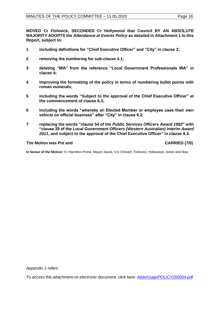**MOVED Cr Fishwick, SECONDED Cr Hollywood that Council BY AN ABSOLUTE MAJORITY ADOPTS the** *Attendance at Events Policy* **as detailed in Attachment 1 to this Report, subject to:**

- **1 including definitions for "Chief Executive Officer" and "City" in clause 2;**
- **2 removing the numbering for sub-clause 4.1;**
- **3 deleting "WA" from the reference "Local Government Professionals WA" in clause 4;**
- **4 improving the formatting of the policy in terms of numbering bullet points with roman numerals;**
- **5 including the words "Subject to the approval of the Chief Executive Officer" at the commencement of clause 8.3;**
- **6 including the words "whereby an Elected Member or employee uses their own vehicle on official business" after "City" in clause 9.2;**
- **7 replacing the words "clause 54 of the** *Public Services Officers Award 1992***" with "clause 29 of the** *Local Government Officers (Western Australian) Interim Award 2011***, and subject to the approval of the Chief Executive Officer" in clause 9.3.**

## **The Motion was Put and CARRIED (7/0)**

**In favour of the Motion:** Cr Hamilton-Prime, Mayor Jacob, Crs Chester, Fishwick, Hollywood, Jones and May.

*Appendix 1 refers*

*To access this attachment on electronic document, click here[: Attach1agnPOLICY200504.pdf](http://www.joondalup.wa.gov.au/files/committees/POLI/2020/Attach1agnPOLICY200504.pdf)*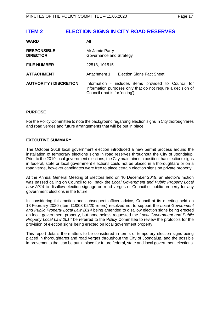## <span id="page-16-0"></span>**ITEM 2 ELECTION SIGNS IN CITY ROAD RESERVES**

| <b>WARD</b>                           | Αll                                                                                                                                                    |  |
|---------------------------------------|--------------------------------------------------------------------------------------------------------------------------------------------------------|--|
| <b>RESPONSIBLE</b><br><b>DIRECTOR</b> | Mr Jamie Parry<br>Governance and Strategy                                                                                                              |  |
| <b>FILE NUMBER</b>                    | 22513, 101515                                                                                                                                          |  |
| <b>ATTACHMENT</b>                     | Attachment 1<br><b>Election Signs Fact Sheet</b>                                                                                                       |  |
| <b>AUTHORITY / DISCRETION</b>         | Information - includes items provided to Council for<br>information purposes only that do not require a decision of<br>Council (that is for 'noting'). |  |

## **PURPOSE**

For the Policy Committee to note the background regarding election signs in City thoroughfares and road verges and future arrangements that will be put in place.

## **EXECUTIVE SUMMARY**

The October 2019 local government election introduced a new permit process around the installation of temporary elections signs in road reserves throughout the City of Joondalup. Prior to the 2019 local government elections, the City maintained a position that elections signs in federal, state or local government elections could not be placed in a thoroughfare or on a road verge, however candidates were free to place certain election signs on private property.

At the Annual General Meeting of Electors held on 10 December 2019, an elector's motion was passed calling on Council to roll back the *Local Government and Public Property Local Law 2014* to disallow election signage on road verges or Council or public property for any government elections in the future.

In considering this motion and subsequent officer advice, Council at its meeting held on 18 February 2020 (Item CJ008-02/20 refers) resolved not to support the *Local Government and Public Property Local Law 2014* being amended to disallow election signs being erected on local government property, but nonetheless requested the *Local Government and Public Property Local Law 2014* be referred to the Policy Committee to review the protocols for the provision of election signs being erected on local government property.

This report details the matters to be considered in terms of temporary election signs being placed in thoroughfares and road verges throughout the City of Joondalup, and the possible improvements that can be put in place for future federal, state and local government elections.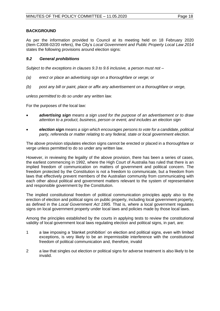## **BACKGROUND**

As per the information provided to Council at its meeting held on 18 February 2020 (Item CJ008-02/20 refers), the City's *Local Government and Public Property Local Law 2014*  states the following provisions around election signs:

## *9.2 General prohibitions*

*Subject to the exceptions in clauses 9.3 to 9.6 inclusive, a person must not –*

- *(a) erect or place an advertising sign on a thoroughfare or verge; or*
- *(b) post any bill or paint, place or affix any advertisement on a thoroughfare or verge,*

*unless permitted to do so under any written law.*

For the purposes of the local law:

- *advertising sign means a sign used for the purpose of an advertisement or to draw attention to a product, business, person or event, and includes an election sign*
- *election sign means a sign which encourages persons to vote for a candidate, political party, referenda or matter relating to any federal, state or local government election.*

The above provision stipulates election signs cannot be erected or placed in a thoroughfare or verge unless permitted to do so under any written law.

However, in reviewing the legality of the above provision, there has been a series of cases, the earliest commencing in 1992, where the High Court of Australia has ruled that there is an implied freedom of communication on matters of government and political concern. The freedom protected by the Constitution is not a freedom to communicate, but a freedom from laws that effectively prevent members of the Australian community from communicating with each other about political and government matters relevant to the system of representative and responsible government by the Constitution.

The implied constitutional freedom of political communication principles apply also to the erection of election and political signs on public property, including local government property, as defined in the *Local Government Act 1995.* That is, where a local government regulates signs on local government property under local laws and policies made by those local laws.

Among the principles established by the courts in applying tests to review the constitutional validity of local government local laws regulating election and political signs, in part, are:

- 1 a law imposing a 'blanket prohibition' on election and political signs, even with limited exceptions, is very likely to be an impermissible interference with the constitutional freedom of political communication and, therefore, invalid
- 2 a law that singles out election or political signs for adverse treatment is also likely to be invalid.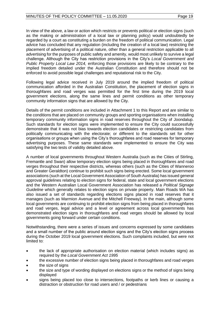In view of the above, a law or action which restricts or prevents political or election signs (such as the making or administration of a local law or planning policy) would undoubtedly be regarded by a court as constituting a burden on the freedom of political communication. Legal advice has concluded that any regulation (including the creation of a local law) restricting the placement of advertising of a political nature, other than a general restriction applicable to all advertising for the purposes of public safety and amenity, would most unlikely to survive a legal challenge. Although the City has restriction provisions in the City's *Local Government and Public Property Local Law 2014,* enforcing those provisions are likely to be contrary to the implied freedom detailed under the Australian Constitution and therefore should not be enforced to avoid possible legal challenges and reputational risk to the City.

Following legal advice received in July 2019 around the implied freedom of political communication afforded in the Australian Constitution, the placement of election signs in thoroughfares and road verges was permitted for the first time during the 2019 local government elections, along the same lines and permit conditions as other temporary community information signs that are allowed by the City.

Details of the permit conditions are included in Attachment 1 to this Report and are similar to the conditions that are placed on community groups and sporting organisations when installing temporary community information signs in road reserves throughout the City of Joondalup. Such standards for election signs were implemented to ensure the City could successfully demonstrate that it was not bias towards election candidates or restricting candidates from politically communicating with the electorate; or different to the standards set for other organisations or groups when using the City's thoroughfares and road reserves for temporary advertising purposes. These same standards were implemented to ensure the City was satisfying the two tests of validity detailed above.

A number of local governments throughout Western Australia (such as the Cities of Stirling, Fremantle and Swan) allow temporary election signs being placed in thoroughfares and road verges throughout their respective districts, whereas others (such as the Cities of Wanneroo and Greater Geraldton) continue to prohibit such signs being erected. Some local government associations (such at the Local Government Association of South Australia) has issued general approval guidelines relating to election signs for federal, state and local government elections and the Western Australian Local Government Association has released a *Political Signage Guideline* which generally relates to election signs on private property. Main Roads WA has also issued a set of standards regarding elections signs placed in road reserves that it manages (such as Marmion Avenue and the Mitchell Freeway). In the main, although some local governments are continuing to prohibit election signs from being placed in thoroughfares and road verges, legal advice and a level or agreement across local governments has demonstrated election signs in thoroughfares and road verges should be allowed by local governments going forward under certain conditions.

Notwithstanding, there were a series of issues and concerns expressed by some candidates and a small number of the public around election signs and the City's election signs process during the October 2019 local government elections. Such complaints included, but were not limited to:

- the lack of appropriate authorisation on election material (which includes signs) as required by the *Local Government Act 1995*
- the excessive number of election signs being placed in thoroughfares and road verges
- the size of signs
- the size and type of wording displayed on elections signs or the method of signs being displayed
- signs being placed too close to intersections, footpaths or kerb lines or causing a distraction or obstruction for road users and / or pedestrians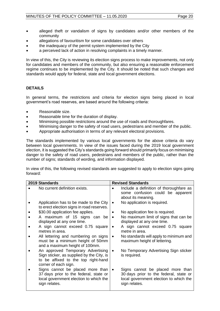- alleged theft or vandalism of signs by candidates and/or other members of the community
- allegations of favouritism for some candidates over others
- the inadequacy of the permit system implemented by the City
- a perceived lack of action in resolving complaints in a timely manner.

In view of this, the City is reviewing its election signs process to make improvements, not only for candidates and members of the community, but also ensuring a reasonable enforcement regime continues to be implemented by the City. It should be noted that such changes and standards would apply for federal, state and local government elections.

## **DETAILS**

In general terms, the restrictions and criteria for election signs being placed in local government's road reserves, are based around the following criteria:

- Reasonable size.
- Reasonable time for the duration of display.
- Minimising possible restrictions around the use of roads and thoroughfares.
- Minimising danger to the safety of road users, pedestrians and member of the public.
- Appropriate authorisation in terms of any relevant electoral provisions.

The standards implemented by various local governments for the above criteria do vary between local governments. In view of the issues faced during the 2019 local government election, it is suggested the City's standards going forward should primarily focus on minimising danger to the safety of road users, pedestrians and members of the public, rather than the number of signs; standards of wording, and information displayed.

In view of this, the following revised standards are suggested to apply to election signs going forward:

| 2019 Standards                                                                                                                                |           | <b>Revised Standards</b>                                                                                                              |
|-----------------------------------------------------------------------------------------------------------------------------------------------|-----------|---------------------------------------------------------------------------------------------------------------------------------------|
| No current definition exists.                                                                                                                 |           | Include a definition of thoroughfare as<br>some confusion could be apparent<br>about its meaning.                                     |
| Application has to be made to the City<br>to erect election signs in road reserves.                                                           | $\bullet$ | No application is required.                                                                                                           |
| \$30.00 application fee applies.                                                                                                              |           | No application fee is required.                                                                                                       |
| A maximum of 15 signs can be<br>displayed at any one time.                                                                                    | $\bullet$ | No maximum limit of signs that can be<br>displayed at any one time.                                                                   |
| A sign cannot exceed 0.75 square<br>metres in area.                                                                                           | ٠         | A sign cannot exceed 0.75 square<br>metre in area.                                                                                    |
| All lettering and numbering on signs<br>must be a minimum height of 50mm<br>and a maximum height of 100mm.                                    | ٠         | No standards will apply to minimum and<br>maximum height of lettering.                                                                |
| An approved Temporary Advertising<br>Sign sticker, as supplied by the City, is<br>to be affixed to the top right-hand<br>corner of each sign. | $\bullet$ | No Temporary Advertising Sign sticker<br>is required.                                                                                 |
| Signs cannot be placed more than<br>37 days prior to the federal, state or<br>local government election to which the<br>sign relates.         | $\bullet$ | Signs cannot be placed more than<br>30 days prior to the federal, state or<br>local government election to which the<br>sign relates. |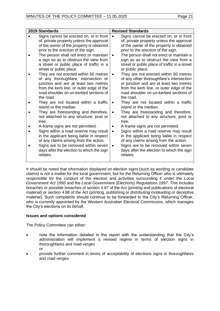| 2019 Standards                                                                                                                                                                                                                                                                                                                                                                                                                                                                                                                                                                                                                                                                                                                                                                                                                                                                                                                                                                                 | <b>Revised Standards</b>                                                                                                                                                                                                                                                                                                                                                                                                                                                                                                                                                                                                                                                                                                                                                                                                                                                                                                                                                                                                        |
|------------------------------------------------------------------------------------------------------------------------------------------------------------------------------------------------------------------------------------------------------------------------------------------------------------------------------------------------------------------------------------------------------------------------------------------------------------------------------------------------------------------------------------------------------------------------------------------------------------------------------------------------------------------------------------------------------------------------------------------------------------------------------------------------------------------------------------------------------------------------------------------------------------------------------------------------------------------------------------------------|---------------------------------------------------------------------------------------------------------------------------------------------------------------------------------------------------------------------------------------------------------------------------------------------------------------------------------------------------------------------------------------------------------------------------------------------------------------------------------------------------------------------------------------------------------------------------------------------------------------------------------------------------------------------------------------------------------------------------------------------------------------------------------------------------------------------------------------------------------------------------------------------------------------------------------------------------------------------------------------------------------------------------------|
| Signs cannot be erected on, or in front<br>of, private property unless the approval<br>of the owner of the property is obtained<br>prior to the erection of the sign.<br>The person shall not erect or maintain<br>a sign so as to obstruct the view from<br>a street or public place of traffic in a<br>street or public place.<br>They are not erected within 50 metres<br>of any thoroughfare, intersection or<br>junction and are at least two metres<br>from the kerb line, or outer edge of the<br>road shoulder on un-kerbed sections of<br>the road.<br>They are not located within a traffic<br>island or the median.<br>They are freestanding and therefore,<br>not attached to any structure, post or<br>tree.<br>A-frame signs are not permitted.<br>Signs within a road reserve may result<br>in the applicant being liable in respect<br>of any claims arising from the action.<br>Signs are to be removed within seven<br>days after the election to which the sign<br>relates. | Signs cannot be erected on, or in front<br>of, private property unless the approval<br>of the owner of the property is obtained<br>prior to the erection of the sign.<br>The person shall not erect or maintain a<br>sign so as to obstruct the view from a<br>street or public place of traffic in a street<br>or public place.<br>They are not erected within 50 metres<br>of any other thoroughfare's intersection<br>or junction and are at least two metres<br>from the kerb line, or outer edge of the<br>road shoulder on un-kerbed sections of<br>the road.<br>They are not located within a traffic<br>$\bullet$<br>island or the median.<br>They are freestanding and therefore,<br>not attached to any structure, post or<br>tree.<br>A-frame signs are not permitted.<br>Signs within a road reserve may result<br>in the applicant being liable in respect<br>of any claims arising from the action.<br>Signs are to be removed within seven<br>$\bullet$<br>days after the election to which the sign<br>relates. |

It should be noted that information displayed on election signs (such as wording or candidate claims) is not a matter for the local government, but for the Returning Officer who is ultimately responsible for the conduct of the election and activities surrounding it under the *Local Government Act 1995* and the *Local Government (Elections) Regulations 1997.* This includes breaches or possible breaches of section 4.87 of the Act (printing and publications of electoral material) or section 4.88 of the Act (printing, publishing or distributing misleading or deceptive material). Such complaints should continue to be forwarded to the City's Returning Officer, who is currently appointed by the Western Australian Electoral Commission, which manages the City's elections on its behalf.

## **Issues and options considered**

The Policy Committee can either:

- note the information detailed in the report with the understanding that the City's administration will implement a revised regime in terms of election signs in thoroughfares and road verges or
- provide further comment in terms of acceptability of elections signs in thoroughfares and road verges.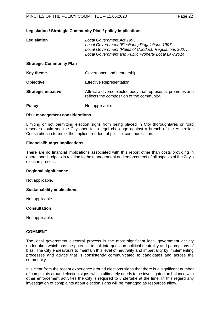## **Legislation / Strategic Community Plan / policy implications**

| Legislation                     | Local Government Act 1995.<br>Local Government (Elections) Regulations 1997.<br>Local Government (Rules of Conduct) Regulations 2007.<br>Local Government and Public Property Local Law 2014. |
|---------------------------------|-----------------------------------------------------------------------------------------------------------------------------------------------------------------------------------------------|
| <b>Strategic Community Plan</b> |                                                                                                                                                                                               |
| Key theme                       | Governance and Leadership.                                                                                                                                                                    |
| <b>Objective</b>                | Effective Representation.                                                                                                                                                                     |
| <b>Strategic initiative</b>     | Attract a diverse elected body that represents, promotes and<br>reflects the composition of the community.                                                                                    |
| <b>Policy</b>                   | Not applicable.                                                                                                                                                                               |

#### **Risk management considerations**

Limiting or not permitting election signs from being placed in City thoroughfares or road reserves could see the City open for a legal challenge against a breach of the Australian Constitution in terms of the implied freedom of political communication.

## **Financial/budget implications**

There are no financial implications associated with this report other than costs providing in operational budgets in relation to the management and enforcement of all aspects of the City's election process.

#### **Regional significance**

Not applicable.

## **Sustainability implications**

Not applicable.

## **Consultation**

Not applicable.

## **COMMENT**

The local government electoral process is the most significant local government activity undertaken which has the potential to call into question political neutrality and perceptions of bias. The City endeavours to maintain this level of neutrality and impartiality by implementing processes and advice that is consistently communicated to candidates and across the community.

It is clear from the recent experience around elections signs that there is a significant number of complaints around election signs, which ultimately needs to be investigated on balance with other enforcement activities the City is required to undertake at the time. In this regard any investigation of complaints about election signs will be managed as resources allow.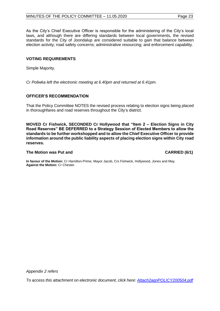As the City's Chief Executive Officer is responsible for the administering of the City's local laws, and although there are differing standards between local governments, the revised standards for the City of Joondalup are considered suitable to gain that balance between election activity; road safety concerns; administrative resourcing; and enforcement capability.

## **VOTING REQUIREMENTS**

Simple Majority.

*Cr Poliwka left the electronic meeting at 6.40pm and returned at 6.41pm.* 

## **OFFICER'S RECOMMENDATION**

That the Policy Committee NOTES the revised process relating to election signs being placed in thoroughfares and road reserves throughout the City's district.

**MOVED Cr Fishwick, SECONDED Cr Hollywood that "Item 2 – Election Signs in City Road Reserves" BE DEFERRED to a Strategy Session of Elected Members to allow the standards to be further workshopped and to allow the Chief Executive Officer to provide information around the public liability aspects of placing election signs within City road reserves.**

## **The Motion was Put and CARRIED (6/1)**

**In favour of the Motion:** Cr Hamilton-Prime, Mayor Jacob, Crs Fishwick, Hollywood, Jones and May. **Against the Motion:** Cr Chester.

*Appendix 2 refers*

*To access this attachment on electronic document, click here[: Attach2agnPOLICY200504.pdf](http://www.joondalup.wa.gov.au/files/committees/POLI/2020/Attach2agnPOLICY200504.pdf)*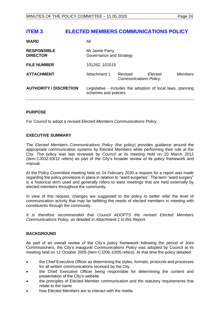## <span id="page-23-0"></span>**ITEM 3 ELECTED MEMBERS COMMUNICATIONS POLICY**

| <b>WARD</b>                           | All                                                                                  |                                   |         |                |
|---------------------------------------|--------------------------------------------------------------------------------------|-----------------------------------|---------|----------------|
| <b>RESPONSIBLE</b><br><b>DIRECTOR</b> | Mr Jamie Parry<br>Governance and Strategy                                            |                                   |         |                |
| <b>FILE NUMBER</b>                    | 101262, 101515                                                                       |                                   |         |                |
| <b>ATTACHMENT</b>                     | Attachment 1                                                                         | Revised<br>Communications Policy. | Elected | <b>Members</b> |
| <b>AUTHORITY / DISCRETION</b>         | Legislative - includes the adoption of local laws, planning<br>schemes and policies. |                                   |         |                |

## **PURPOSE**

For Council to adopt a revised *Elected Members Communications Policy*.

## **EXECUTIVE SUMMARY**

The *Elected Members Communications Policy* (the policy) provides guidance around the appropriate communication systems by Elected Members while performing their role at the City. The policy was last reviewed by Council at its meeting held on 20 March 2012 (Item CJ032-03/12 refers) as part of the City's broader review of its policy framework and manual.

At the Policy Committee meeting held on 24 February 2020 a request for a report was made regarding the policy provisions in place in relation to "ward surgeries". The term "ward surgery" is a historical term used and generally refers to ward meetings that are held externally by elected members throughout the community.

In view of this request, changes are suggested to the policy to better refer the level of communication activity that may be befitting the needs of elected members in meeting with constituents through the community.

*It is therefore recommended that Council ADOPTS the revised Elected Members Communications Policy, as detailed in Attachment 1 to this Report.* 

## **BACKGROUND**

As part of an overall review of the City's policy framework following the period of Joint Commissioners, the City's inaugural *Communications Policy* was adopted by Council at its meeting held on 11 October 2005 (Item CJ206-10/05 refers). At that time the policy detailed:

- the Chief Executive Officer as determining the styles, formats, protocols and processes for all written communications received by the City
- the Chief Executive Officer being responsible for determining the content and presentation of the City's website
- the principles of Elected Member communication and the statutory requirements that relate to the same
- how Elected Members are to interact with the media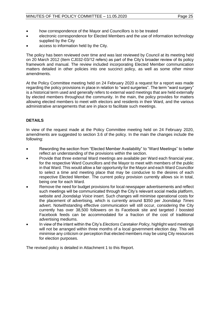- how correspondence of the Mayor and Councillors is to be treated
- electronic correspondence for Elected Members and the use of information technology supplied by the City
- access to information held by the City.

The policy has been reviewed over time and was last reviewed by Council at its meeting held on 20 March 2012 (Item CJ032-03/12 refers) as part of the City's broader review of its policy framework and manual. The review included incorporating Elected Member communication matters detailed in other policies into one succinct policy, as well as some other minor amendments.

At the Policy Committee meeting held on 24 February 2020 a request for a report was made regarding the policy provisions in place in relation to "ward surgeries". The term "ward surgery" is a historical term used and generally refers to external ward meetings that are held externally by elected members throughout the community. In the main, the policy provides for matters allowing elected members to meet with electors and residents in their Ward, and the various administrative arrangements that are in place to facilitate such meetings.

## **DETAILS**

In view of the request made at the Policy Committee meeting held on 24 February 2020, amendments are suggested to section 3.6 of the policy. In the main the changes include the following:

- Rewording the section from "Elected Member Availability" to "Ward Meetings" to better reflect an understanding of the provisions within the section.
- Provide that three external Ward meetings are available per Ward each financial year, for the respective Ward Councillors and the Mayor to meet with members of the public in that Ward. This would allow a fair opportunity for the Mayor and each Ward Councillor to select a time and meeting place that may be conducive to the desires of each respective Elected Member. The current policy provision currently allows six in total, being one for each Ward.
- Remove the need for budget provisions for local newspaper advertisements and reflect such meetings will be communicated through the City's relevant social media platform, website and *Joondalup Voice* insert. Such changes will minimise operational costs for the placement of advertising, which is currently around \$350 per *Joondalup Times*  advert. Notwithstanding effective communication will still occur, considering the City currently has over 38,500 followers on its Facebook site and targeted / boosted Facebook feeds can be accommodated for a fraction of the cost of traditional advertising mediums.
- In view of the intent within the City's *Elections Caretaker Policy,* highlight ward meetings will not be arranged within three months of a local government election day. This will minimise any criticism or perception that elected members may be using City resources for election purposes.

The revised policy is detailed in Attachment 1 to this Report.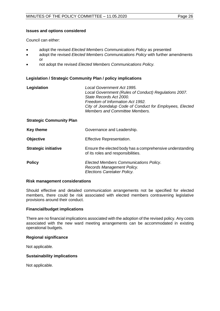## **Issues and options considered**

Council can either:

- adopt the revised *Elected Members Communications Policy* as presented
- adopt the revised *Elected Members Communications Policy* with further amendments or
- not adopt the revised *Elected Members Communications Policy.*

## **Legislation / Strategic Community Plan / policy implications**

| Legislation                     | Local Government Act 1995.<br>Local Government (Rules of Conduct) Regulations 2007.<br>State Records Act 2000.<br>Freedom of Information Act 1992.<br>City of Joondalup Code of Conduct for Employees, Elected<br>Members and Committee Members. |
|---------------------------------|--------------------------------------------------------------------------------------------------------------------------------------------------------------------------------------------------------------------------------------------------|
| <b>Strategic Community Plan</b> |                                                                                                                                                                                                                                                  |
| <b>Key theme</b>                | Governance and Leadership.                                                                                                                                                                                                                       |
| <b>Objective</b>                | Effective Representation.                                                                                                                                                                                                                        |
| <b>Strategic initiative</b>     | Ensure the elected body has a comprehensive understanding<br>of its roles and responsibilities.                                                                                                                                                  |
| <b>Policy</b>                   | Elected Members Communications Policy.<br>Records Management Policy.<br>Elections Caretaker Policy.                                                                                                                                              |

## **Risk management considerations**

Should effective and detailed communication arrangements not be specified for elected members, there could be risk associated with elected members contravening legislative provisions around their conduct.

## **Financial/budget implications**

There are no financial implications associated with the adoption of the revised policy. Any costs associated with the new ward meeting arrangements can be accommodated in existing operational budgets.

## **Regional significance**

Not applicable.

## **Sustainability implications**

Not applicable.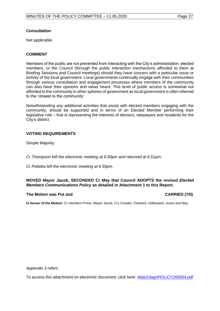## **Consultation**

Not applicable.

## **COMMENT**

Members of the public are not prevented from interacting with the City's administration, elected members, or the Council (through the public interaction mechanisms afforded to them at Briefing Sessions and Council meetings) should they have concern with a particular issue or activity of the local government. Local governments continually engage with their communities through various consultation and engagement processes where members of the community can also have their opinions and views heard. This level of public access is somewhat not afforded to the community in other spheres of government as local government is often referred to the 'closest to the community'.

Notwithstanding any additional activities that assist with elected members engaging with the community, should be supported and in terms of an Elected Member performing their legislative role – that is representing the interests of electors, ratepayers and residents for the City's district.

## **VOTING REQUIREMENTS**

Simple Majority.

*Cr Thompson left the electronic meeting at 6.50pm and returned at 6.51pm.*

*Cr Poliwka left the electronic meeting at 6.55pm.*

## **MOVED Mayor Jacob, SECONDED Cr May that Council ADOPTS the revised** *Elected Members Communications Policy* **as detailed in Attachment 1 to this Report.**

## **The Motion was Put and CARRIED (7/0)**

**In favour of the Motion:** Cr Hamilton-Prime, Mayor Jacob, Crs Chester, Fishwick, Hollywood, Jones and May.

*Appendix 3 refers*

*To access this attachment on electronic document, click here: [Attach3agnPOLICY200504.pdf](http://www.joondalup.wa.gov.au/files/committees/POLI/2020/Attach3agnPOLICY200504.pdf)*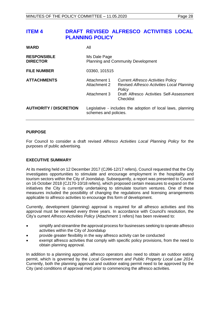## <span id="page-27-0"></span>**ITEM 4 DRAFT REVISED ALFRESCO ACTIVITIES LOCAL PLANNING POLICY**

| <b>WARD</b>                           | Αll                                                       |                                                                                                   |
|---------------------------------------|-----------------------------------------------------------|---------------------------------------------------------------------------------------------------|
| <b>RESPONSIBLE</b><br><b>DIRECTOR</b> | Ms Dale Page<br><b>Planning and Community Development</b> |                                                                                                   |
| <b>FILE NUMBER</b>                    | 03360, 101515                                             |                                                                                                   |
| <b>ATTACHMENTS</b>                    | Attachment 1<br>Attachment 2                              | <b>Current Alfresco Activities Policy</b><br>Revised Alfresco Activities Local Planning<br>Policy |
|                                       | Attachment 3                                              | Draft Alfresco Activities Self-Assessment<br>Checklist                                            |
| <b>AUTHORITY / DISCRETION</b>         | schemes and policies.                                     | Legislative - includes the adoption of local laws, planning                                       |

## **PURPOSE**

For Council to consider a draft revised *Alfresco Activities Local Planning Policy* for the purposes of public advertising.

## **EXECUTIVE SUMMARY**

At its meeting held on 12 December 2017 (CJ96-12/17 refers), Council requested that the City investigates opportunities to stimulate and encourage employment in the hospitality and tourism sectors within the City of Joondalup. Subsequently, a report was presented to Council on 16 October 2018 (CJ170-10/18 refers), which proposed certain measures to expand on the initiatives the City is currently undertaking to stimulate tourism ventures. One of these measures included the possibility of changing the regulations and licensing arrangements applicable to alfresco activities to encourage this form of development.

Currently, development (planning) approval is required for all alfresco activities and this approval must be renewed every three years. In accordance with Council's resolution, the City's current *Alfresco Activities Policy* (Attachment 1 refers) has been reviewed to:

- simplify and streamline the approval process for businesses seeking to operate alfresco activities within the City of Joondalup
- provide greater flexibility in the way alfresco activity can be conducted
- exempt alfresco activities that comply with specific policy provisions, from the need to obtain planning approval.

In addition to a planning approval, alfresco operators also need to obtain an outdoor eating permit, which is governed by the *Local Government and Public Property Local Law 2014*. Currently, both the planning approval and outdoor eating permit need to be approved by the City (and conditions of approval met) prior to commencing the alfresco activities.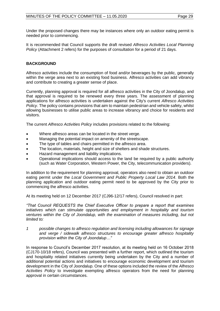Under the proposed changes there may be instances where only an outdoor eating permit is needed prior to commencing.

It is recommended that Council supports the draft revised *Alfresco Activities Local Planning Policy* (Attachment 2 refers) for the purposes of consultation for a period of 21 days.

## **BACKGROUND**

Alfresco activities include the consumption of food and/or beverages by the public, generally within the verge area next to an existing food business. Alfresco activities can add vibrancy and contribute to creating a greater sense of place.

Currently, planning approval is required for all alfresco activities in the City of Joondalup, and that approval is required to be renewed every three years. The assessment of planning applications for alfresco activities is undertaken against the City's current *Alfresco Activities Policy*. The policy contains provisions that aim to maintain pedestrian and vehicle safety, whilst allowing businesses to utilise public areas to increase vibrancy and choice for residents and visitors.

The current *Alfresco Activities Policy* includes provisions related to the following:

- Where alfresco areas can be located in the street verge.
- Managing the potential impact on amenity of the streetscape.
- The type of tables and chairs permitted in the alfresco area.
- The location, materials, height and size of shelters and shade structures.
- Hazard management and liability implications.
- Operational implications should access to the land be required by a public authority (such as Water Corporation, Western Power, the City, telecommunication providers).

In addition to the requirement for planning approval, operators also need to obtain an outdoor eating permit under the *Local Government and Public Property Local Law 2014*. Both the planning application and outdoor eating permit need to be approved by the City prior to commencing the alfresco activities.

At its meeting held on 12 December 2017 (CJ96-12/17 refers), Council resolved in part:

*"That Council REQUESTS the Chief Executive Officer to prepare a report that examines initiatives which can stimulate opportunities and employment in hospitality and tourism ventures within the City of Joondalup, with the examination of measures including, but not limited to:* 

*1 possible changes to alfresco regulation and licensing including allowances for signage and verge / sidewalk alfresco structures to encourage greater alfresco hospitality provision within the City of Joondalup…"* 

In response to Council's December 2017 resolution, at its meeting held on 16 October 2018 (CJ170-10/18 refers), Council was presented with a further report, which outlined the tourism and hospitality related initiatives currently being undertaken by the City and a number of additional potential actions and initiatives to encourage economic development and tourism development in the City of Joondalup. One of these options included the review of the *Alfresco Activities Policy* to investigate exempting alfresco operators from the need for planning approval in certain circumstances.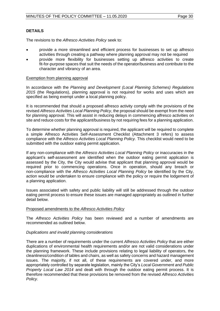## **DETAILS**

The revisions to the *Alfresco Activities Policy* seek to:

- provide a more streamlined and efficient process for businesses to set up alfresco activities through creating a pathway where planning approval may not be required
- provide more flexibility for businesses setting up alfresco activities to create fit-for-purpose spaces that suit the needs of the operator/business and contribute to the character and vibrancy of an area.

## Exemption from planning approval

In accordance with the *Planning and Development (Local Planning Schemes) Regulations 2015* (the Regulations), planning approval is not required for works and uses which are specified as being exempt under a local planning policy.

It is recommended that should a proposed alfresco activity comply with the provisions of the revised *Alfresco Activities Local Planning Policy*, the proposal should be exempt from the need for planning approval. This will assist in reducing delays in commencing alfresco activities on site and reduce costs for the applicant/business by not requiring fees for a planning application.

To determine whether planning approval is required, the applicant will be required to complete a simple Alfresco Activities Self-Assessment Checklist (Attachment 3 refers) to assess compliance with the *Alfresco Activities Local Planning Policy.* This checklist would need to be submitted with the outdoor eating permit application.

If any non-compliance with the *Alfresco Activities Local Planning Policy* or inaccuracies in the applicant's self-assessment are identified when the outdoor eating permit application is assessed by the City, the City would advise that applicant that planning approval would be required prior to commencing operations. Once in operation, should any breach or non-compliance with the *Alfresco Activities Local Planning Policy* be identified by the City, action would be undertaken to ensure compliance with the policy or require the lodgement of a planning application.

Issues associated with safety and public liability will still be addressed through the outdoor eating permit process to ensure these issues are managed appropriately as outlined in further detail below.

## Proposed amendments to the *Alfresco Activities Policy*

The *Alfresco Activities Policy* has been reviewed and a number of amendments are recommended as outlined below.

## *Duplications and invalid planning considerations*

There are a number of requirements under the current *Alfresco Activities Policy* that are either duplications of environmental health requirements and/or are not valid considerations under the planning framework. These include provisions relating to legal liability of operators, the cleanliness/condition of tables and chairs, as well as safety concerns and hazard management issues. The majority, if not all, of these requirements are covered under, and more appropriately controlled by separate legislation, mainly the City's *Local Government and Public Property Local Law 2014* and dealt with through the outdoor eating permit process. It is therefore recommended that these provisions be removed from the revised *Alfresco Activities Policy*.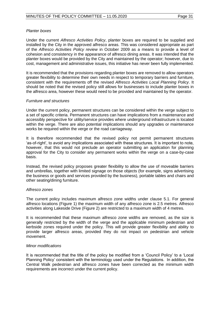## *Planter boxes*

Under the current *Alfresco Activities Policy*, planter boxes are required to be supplied and installed by the City in the approved alfresco areas. This was considered appropriate as part of the *Alfresco Activities Policy review* in October 2009 as a means to provide a level of cohesion and consistency in the appearance of alfresco dining areas. It was intended that the planter boxes would be provided by the City and maintained by the operator; however, due to cost, management and administrative issues, this initiative has never been fully implemented.

It is recommended that the provisions regarding planter boxes are removed to allow operators greater flexibility to determine their own needs in respect to temporary barriers and furniture, consistent with the requirements off the revised *Alfresco Activities Local Planning Policy*. It should be noted that the revised policy still allows for businesses to include planter boxes in the alfresco area, however these would need to be provided and maintained by the operator.

## *Furniture and structures*

Under the current policy, permanent structures can be considered within the verge subject to a set of specific criteria. Permanent structures can have implications from a maintenance and accessibly perspective for utility/service provides where underground infrastructure is located within the verge. There are also potential implications should any upgrades or maintenance works be required within the verge or the road carriageway.

It is therefore recommended that the revised policy not permit permanent structures 'as-of-right', to avoid any implications associated with these structures. It is important to note, however, that this would not preclude an operator submitting an application for planning approval for the City to consider any permanent works within the verge on a case-by-case basis.

Instead, the revised policy proposes greater flexibility to allow the use of moveable barriers and umbrellas, together with limited signage on those objects (for example, signs advertising the business or goods and services provided by the business), portable tables and chairs and other seating/dining furniture.

#### *Alfresco zones*

The current policy includes maximum alfresco zone widths under clause 5.1. For general alfresco locations (Figure 1) the maximum width of any alfresco zone is 2.5 metres. Alfresco activities along Lakeside Drive (Figure 2) are restricted to a maximum width of 4 metres.

It is recommended that these maximum alfresco zone widths are removed, as the size is generally restricted by the width of the verge and the applicable minimum pedestrian and kerbside zones required under the policy. This will provide greater flexibility and ability to provide larger alfresco areas, provided they do not impact on pedestrian and vehicle movement.

## *Minor modifications*

It is recommended that the title of the policy be modified from a 'Council Policy' to a 'Local Planning Policy' consistent with the terminology used under the Regulations. In addition, the Central Walk pedestrian and alfresco zones have been corrected as the minimum width requirements are incorrect under the current policy.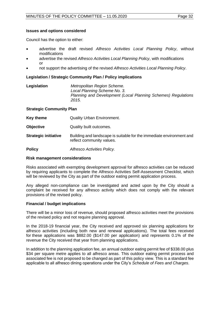## **Issues and options considered**

Council has the option to either:

- advertise the draft revised *Alfresco Activities Local Planning Policy*, without modifications
- advertise the revised *Alfresco Activities Local Planning Policy*, with modifications or
- not support the advertising of the revised *Alfresco Activities Local Planning Policy*.

## **Legislation / Strategic Community Plan / Policy implications**

| Legislation | Metropolitan Region Scheme.                                   |
|-------------|---------------------------------------------------------------|
|             | Local Planning Scheme No. 3.                                  |
|             | Planning and Development (Local Planning Schemes) Regulations |
|             | 2015.                                                         |

#### **Strategic Community Plan**

| <b>Key theme</b> | <b>Quality Urban Environment.</b> |
|------------------|-----------------------------------|
|------------------|-----------------------------------|

- **Objective** Quality built outcomes.
- **Strategic initiative** Building and landscape is suitable for the immediate environment and reflect community values.
- **Policy** *Alfresco Activities Policy.*

#### **Risk management considerations**

Risks associated with exempting development approval for alfresco activities can be reduced by requiring applicants to complete the Alfresco Activities Self-Assessment Checklist, which will be reviewed by the City as part of the outdoor eating permit application process.

Any alleged non-compliance can be investigated and acted upon by the City should a complaint be received for any alfresco activity which does not comply with the relevant provisions of the revised policy.

## **Financial / budget implications**

There will be a minor loss of revenue, should proposed alfresco activities meet the provisions of the revised policy and not require planning approval.

In the 2018-19 financial year, the City received and approved six planning applications for alfresco activities (including both new and renewal applications). The total fees received for these applications was \$882.00 (\$147.00 per application) and represents 0.1% of the revenue the City received that year from planning applications.

In addition to the planning application fee, an annual outdoor eating permit fee of \$338.00 plus \$34 per square metre applies to all alfresco areas. This outdoor eating permit process and associated fee is not proposed to be changed as part of this policy view. This is a standard fee applicable to all alfresco dining operations under the City's *Schedule of Fees and Charges*.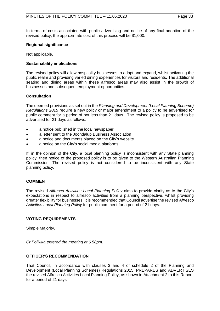In terms of costs associated with public advertising and notice of any final adoption of the revised policy, the approximate cost of this process will be \$1,000.

## **Regional significance**

Not applicable.

## **Sustainability implications**

The revised policy will allow hospitality businesses to adapt and expand, whilst activating the public realm and providing varied dining experiences for visitors and residents. The additional seating and dining areas within these alfresco areas may also assist in the growth of businesses and subsequent employment opportunities.

## **Consultation**

The deemed provisions as set out in the *Planning and Development (Local Planning Scheme) Regulations 2015* require a new policy or major amendment to a policy to be advertised for public comment for a period of not less than 21 days. The revised policy is proposed to be advertised for 21 days as follows:

- a notice published in the local newspaper
- a letter sent to the Joondalup Business Association
- a notice and documents placed on the City's website
- a notice on the City's social media platforms.

If, in the opinion of the City, a local planning policy is inconsistent with any State planning policy, then notice of the proposed policy is to be given to the Western Australian Planning Commission. The revised policy is not considered to be inconsistent with any State planning policy.

#### **COMMENT**

The revised *Alfresco Activities Local Planning Policy* aims to provide clarity as to the City's expectations in respect to alfresco activities from a planning perspective, whilst providing greater flexibility for businesses. It is recommended that Council advertise the revised *Alfresco Activities Local Planning Policy* for public comment for a period of 21 days.

## **VOTING REQUIREMENTS**

Simple Majority.

*Cr Poliwka entered the meeting at 6.58pm.*

## **OFFICER'S RECOMMENDATION**

That Council, in accordance with clauses 3 and 4 of schedule 2 of the Planning and Development (Local Planning Schemes) Regulations 2015, PREPARES and ADVERTISES the revised Alfresco Activities Local Planning Policy, as shown in Attachment 2 to this Report, for a period of 21 days.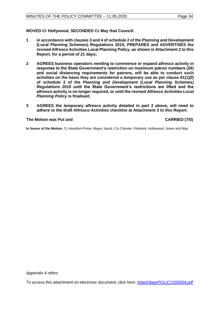**MOVED Cr Hollywood, SECONDED Cr May that Council:**

- **1 in accordance with clauses 3 and 4 of schedule 2 of the Planning and Development (Local Planning Schemes) Regulations 2015, PREPARES and ADVERTISES the revised Alfresco Activities Local Planning Policy, as shown in Attachment 2 to this Report, for a period of 21 days;**
- **2 AGREES business operators needing to commence or expand alfresco activity in response to the State Government's restriction on maximum patron numbers (20) and social distancing requirements for patrons, will be able to conduct such activities on the basis they are considered a temporary use as per clause 61(1)(f) of schedule 2 of the** *Planning and Development (Local Planning Schemes) Regulations 2015* **until the State Government's restrictions are lifted and the alfresco activity is no longer required, or until the revised** *Alfresco Activities Local Planning Policy* **is finalised;**
- **3 AGREES the temporary alfresco activity detailed in part 2 above, will need to adhere to the draft Alfresco Activities checklist at Attachment 3 to this Report.**

## **The Motion was Put and CARRIED (7/0)**

**In favour of the Motion:** Cr Hamilton-Prime, Mayor Jacob, Crs Chester, Fishwick, Hollywood, Jones and May.

*To access this attachment on electronic document, click her[e: Attach4agnPOLICY200504.pdf](http://www.joondalup.wa.gov.au/files/committees/POLI/2020/Attach4agnPOLICY200504.pdf)*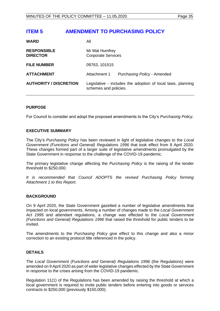## <span id="page-34-0"></span>**ITEM 5 AMENDMENT TO PURCHASING POLICY**

| <b>WARD</b>                           | All                                                                                  |                                    |
|---------------------------------------|--------------------------------------------------------------------------------------|------------------------------------|
| <b>RESPONSIBLE</b><br><b>DIRECTOR</b> | Mr Mat Humfrey<br><b>Corporate Services</b>                                          |                                    |
| <b>FILE NUMBER</b>                    | 09763, 101515                                                                        |                                    |
| <b>ATTACHMENT</b>                     | Attachment 1                                                                         | <b>Purchasing Policy - Amended</b> |
| <b>AUTHORITY / DISCRETION</b>         | Legislative - includes the adoption of local laws, planning<br>schemes and policies. |                                    |

## **PURPOSE**

For Council to consider and adopt the proposed amendments to the City's *Purchasing Policy*.

## **EXECUTIVE SUMMARY**

The City's *Purchasing Policy* has been reviewed in light of legislative changes to the *Local Government (Functions and General) Regulations 1996* that took effect from 9 April 2020. These changes formed part of a larger suite of legislative amendments promulgated by the State Government in response to the challenge of the COVID-19 pandemic.

The primary legislative change affecting the *Purchasing Policy* is the raising of the tender threshold to \$250,000.

*It is recommended that Council ADOPTS the revised Purchasing Policy forming Attachment 1 to this Report.* 

## **BACKGROUND**

On 9 April 2020, the State Government gazetted a number of legislative amendments that impacted on local governments. Among a number of changes made to the *Local Government Act 1995* and attendant regulations, a change was effected to the *Local Government (Functions and General) Regulations 1996* that raised the threshold for public tenders to be invited.

The amendments to the *Purchasing Policy* give effect to this change and also a minor correction to an existing protocol title referenced in the policy.

## **DETAILS**

The *Local Government (Functions and General) Regulations 1996* (the Regulations) were amended on 9 April 2020 as part of wider legislative changes effected by the State Government in response to the crises arising from the COVID-19 pandemic.

Regulation 11(1) of the Regulations has been amended by raising the threshold at which a local government is required to invite public tenders before entering into goods or services contracts to \$250,000 (previously \$150,000).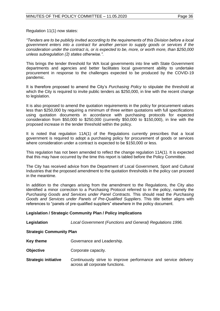Regulation 11(1) now states:

*"Tenders are to be publicly invited according to the requirements of this Division before a local government enters into a contract for another person to supply goods or services if the consideration under the contract is, or is expected to be, more, or worth more, than \$250,000 unless subregulation (2) states otherwise.".*

This brings the tender threshold for WA local governments into line with State Government departments and agencies and better facilitates local government ability to undertake procurement in response to the challenges expected to be produced by the COVID-19 pandemic.

It is therefore proposed to amend the City's *Purchasing Policy* to stipulate the threshold at which the City is required to invite public tenders as \$250,000, in line with the recent change to legislation.

It is also proposed to amend the quotation requirements in the policy for procurement values less than \$250,000 by requiring a minimum of three written quotations with full specifications using quotation documents in accordance with purchasing protocols for expected consideration from \$50,000 to \$250,000 (currently \$50,000 to \$150,000), in line with the proposed increase in the tender threshold within the policy.

It is noted that regulation 11A(1) of the Regulations currently prescribes that a local government is required to adopt a purchasing policy for procurement of goods or services where consideration under a contract is expected to be \$150,000 or less.

This regulation has not been amended to reflect the change regulation 11A(1). It is expected that this may have occurred by the time this report is tabled before the Policy Committee.

The City has received advice from the Department of Local Government, Sport and Cultural Industries that the proposed amendment to the quotation thresholds in the policy can proceed in the meantime.

In addition to the changes arising from the amendment to the Regulations, the City also identified a minor correction to a Purchasing Protocol referred to in the policy, namely the *Purchasing Goods and Services under Panel Contracts*. This should read the *Purchasing Goods and Services under Panels of Pre-Qualified Suppliers*. This title better aligns with references to "panels of pre-qualified suppliers" elsewhere in the policy document.

## **Legislation / Strategic Community Plan / Policy implications**

**Legislation** *Local Government (Functions and General) Regulations 1996.*

## **Strategic Community Plan**

- **Key theme Governance and Leadership.**
- **Objective Corporate capacity.**
- **Strategic initiative** Continuously strive to improve performance and service delivery across all corporate functions.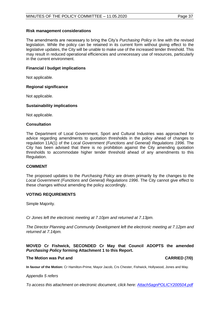## **Risk management considerations**

The amendments are necessary to bring the City's *Purchasing Policy* in line with the revised legislation. While the policy can be retained in its current form without giving effect to the legislative updates, the City will be unable to make use of the increased tender threshold. This may result in reduced operational efficiencies and unnecessary use of resources, particularly in the current environment.

## **Financial / budget implications**

Not applicable.

## **Regional significance**

Not applicable.

## **Sustainability implications**

Not applicable.

## **Consultation**

The Department of Local Government, Sport and Cultural Industries was approached for advice regarding amendments to quotation thresholds in the policy ahead of changes to regulation 11A(1) of the *Local Government (Functions and General) Regulations 1996*. The City has been advised that there is no prohibition against the City amending quotation thresholds to accommodate higher tender threshold ahead of any amendments to this Regulation.

## **COMMENT**

The proposed updates to the *Purchasing Policy* are driven primarily by the changes to the *Local Government (Functions and General) Regulations 1996*. The City cannot give effect to these changes without amending the policy accordingly.

## **VOTING REQUIREMENTS**

Simple Majority.

*Cr Jones left the electronic meeting at 7.10pm and returned at 7.13pm.*

*The Director Planning and Community Development left the electronic meeting at 7.12pm and returned at 7.14pm.* 

## **MOVED Cr Fishwick, SECONDED Cr May that Council ADOPTS the amended**  *Purchasing Policy* **forming Attachment 1 to this Report.**

#### **The Motion was Put and CARRIED (7/0)**

**In favour of the Motion:** Cr Hamilton-Prime, Mayor Jacob, Crs Chester, Fishwick, Hollywood, Jones and May.

*Appendix 5 refers*

*To access this attachment on electronic document, click here[: Attach5agnPOLICY200504.pdf](http://www.joondalup.wa.gov.au/files/committees/POLI/2020/Attach5agnPOLICY200504.pdf)*